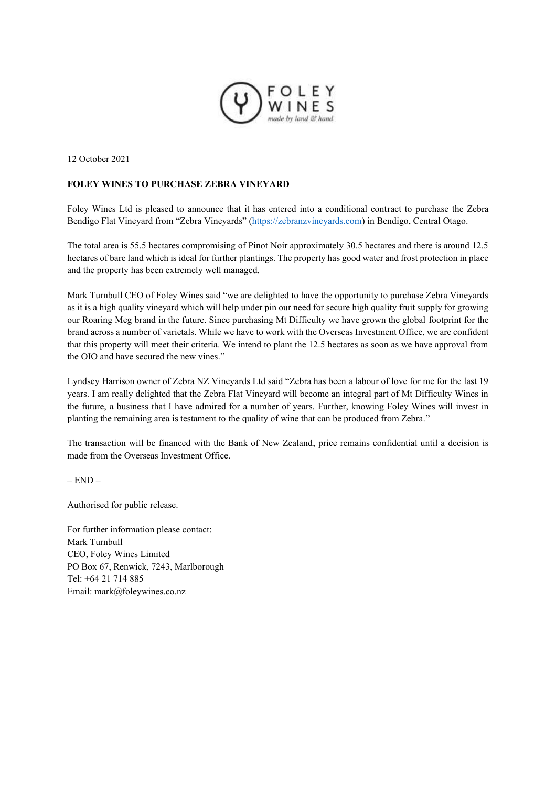

12 October 2021

## **FOLEY WINES TO PURCHASE ZEBRA VINEYARD**

Foley Wines Ltd is pleased to announce that it has entered into a conditional contract to purchase the Zebra Bendigo Flat Vineyard from "Zebra Vineyards" ([https://zebranzvineyards.com\)](https://zebranzvineyards.com/) in Bendigo, Central Otago.

The total area is 55.5 hectares compromising of Pinot Noir approximately 30.5 hectares and there is around 12.5 hectares of bare land which is ideal for further plantings. The property has good water and frost protection in place and the property has been extremely well managed.

Mark Turnbull CEO of Foley Wines said "we are delighted to have the opportunity to purchase Zebra Vineyards as it is a high quality vineyard which will help under pin our need for secure high quality fruit supply for growing our Roaring Meg brand in the future. Since purchasing Mt Difficulty we have grown the global footprint for the brand across a number of varietals. While we have to work with the Overseas Investment Office, we are confident that this property will meet their criteria. We intend to plant the 12.5 hectares as soon as we have approval from the OIO and have secured the new vines."

Lyndsey Harrison owner of Zebra NZ Vineyards Ltd said "Zebra has been a labour of love for me for the last 19 years. I am really delighted that the Zebra Flat Vineyard will become an integral part of Mt Difficulty Wines in the future, a business that I have admired for a number of years. Further, knowing Foley Wines will invest in planting the remaining area is testament to the quality of wine that can be produced from Zebra."

The transaction will be financed with the Bank of New Zealand, price remains confidential until a decision is made from the Overseas Investment Office.

 $-$  END  $-$ 

Authorised for public release.

For further information please contact: Mark Turnbull CEO, Foley Wines Limited PO Box 67, Renwick, 7243, Marlborough Tel: +64 21 714 885 Email: mark@foleywines.co.nz